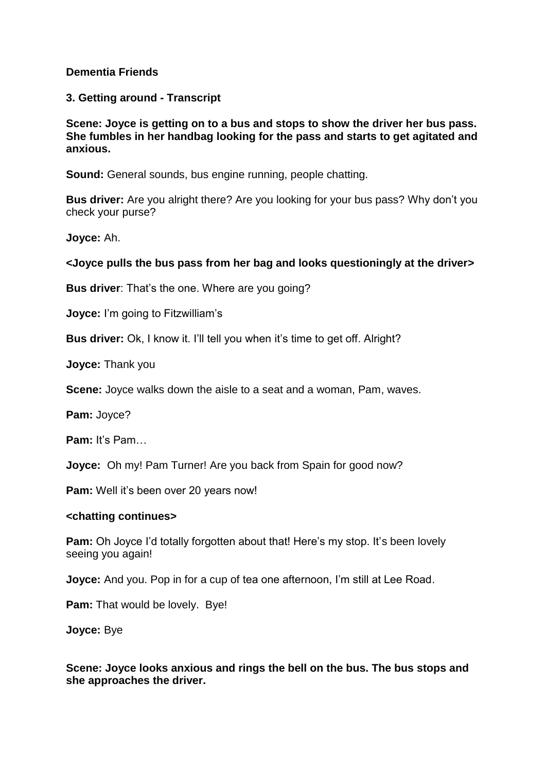### **Dementia Friends**

**3. Getting around - Transcript**

**Scene: Joyce is getting on to a bus and stops to show the driver her bus pass. She fumbles in her handbag looking for the pass and starts to get agitated and anxious.**

**Sound:** General sounds, bus engine running, people chatting.

**Bus driver:** Are you alright there? Are you looking for your bus pass? Why don't you check your purse?

**Joyce:** Ah.

## **<Joyce pulls the bus pass from her bag and looks questioningly at the driver>**

**Bus driver:** That's the one. Where are you going?

**Joyce:** I'm going to Fitzwilliam's

**Bus driver:** Ok, I know it. I'll tell you when it's time to get off. Alright?

**Joyce:** Thank you

**Scene:** Joyce walks down the aisle to a seat and a woman, Pam, waves.

**Pam:** Joyce?

**Pam:** It's Pam…

**Joyce:** Oh my! Pam Turner! Are you back from Spain for good now?

**Pam:** Well it's been over 20 years now!

#### **<chatting continues>**

**Pam:** Oh Joyce I'd totally forgotten about that! Here's my stop. It's been lovely seeing you again!

**Joyce:** And you. Pop in for a cup of tea one afternoon, I'm still at Lee Road.

**Pam:** That would be lovely. Bye!

**Joyce:** Bye

**Scene: Joyce looks anxious and rings the bell on the bus. The bus stops and she approaches the driver.**